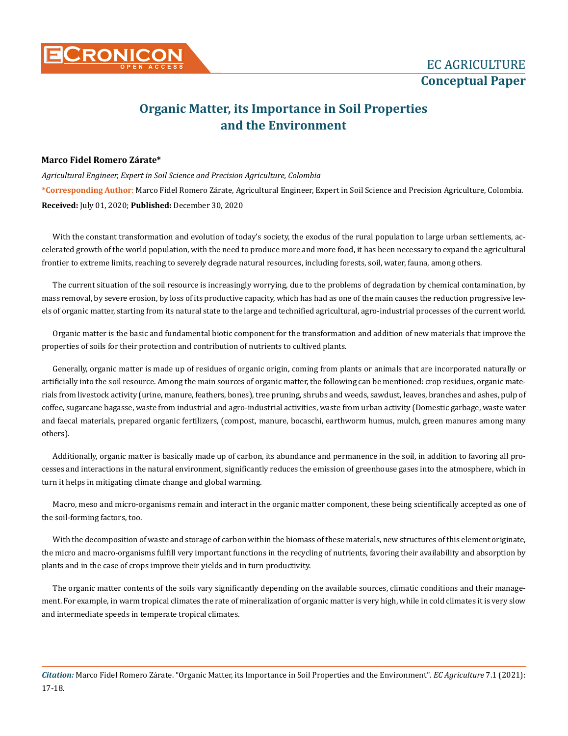

## **Organic Matter, its Importance in Soil Properties and the Environment**

## **Marco Fidel Romero Zárate\***

**\*Corresponding Author**: Marco Fidel Romero Zárate, Agricultural Engineer, Expert in Soil Science and Precision Agriculture, Colombia. *Agricultural Engineer, Expert in Soil Science and Precision Agriculture, Colombia* **Received:** July 01, 2020; **Published:** December 30, 2020

With the constant transformation and evolution of today's society, the exodus of the rural population to large urban settlements, accelerated growth of the world population, with the need to produce more and more food, it has been necessary to expand the agricultural frontier to extreme limits, reaching to severely degrade natural resources, including forests, soil, water, fauna, among others.

The current situation of the soil resource is increasingly worrying, due to the problems of degradation by chemical contamination, by mass removal, by severe erosion, by loss of its productive capacity, which has had as one of the main causes the reduction progressive levels of organic matter, starting from its natural state to the large and technified agricultural, agro-industrial processes of the current world.

Organic matter is the basic and fundamental biotic component for the transformation and addition of new materials that improve the properties of soils for their protection and contribution of nutrients to cultived plants.

Generally, organic matter is made up of residues of organic origin, coming from plants or animals that are incorporated naturally or artificially into the soil resource. Among the main sources of organic matter, the following can be mentioned: crop residues, organic materials from livestock activity (urine, manure, feathers, bones), tree pruning, shrubs and weeds, sawdust, leaves, branches and ashes, pulp of coffee, sugarcane bagasse, waste from industrial and agro-industrial activities, waste from urban activity (Domestic garbage, waste water and faecal materials, prepared organic fertilizers, (compost, manure, bocaschi, earthworm humus, mulch, green manures among many others).

Additionally, organic matter is basically made up of carbon, its abundance and permanence in the soil, in addition to favoring all processes and interactions in the natural environment, significantly reduces the emission of greenhouse gases into the atmosphere, which in turn it helps in mitigating climate change and global warming.

Macro, meso and micro-organisms remain and interact in the organic matter component, these being scientifically accepted as one of the soil-forming factors, too.

With the decomposition of waste and storage of carbon within the biomass of these materials, new structures of this element originate, the micro and macro-organisms fulfill very important functions in the recycling of nutrients, favoring their availability and absorption by plants and in the case of crops improve their yields and in turn productivity.

The organic matter contents of the soils vary significantly depending on the available sources, climatic conditions and their management. For example, in warm tropical climates the rate of mineralization of organic matter is very high, while in cold climates it is very slow and intermediate speeds in temperate tropical climates.

*Citation:* Marco Fidel Romero Zárate. "Organic Matter, its Importance in Soil Properties and the Environment". *EC Agriculture* 7.1 (2021): 17-18.